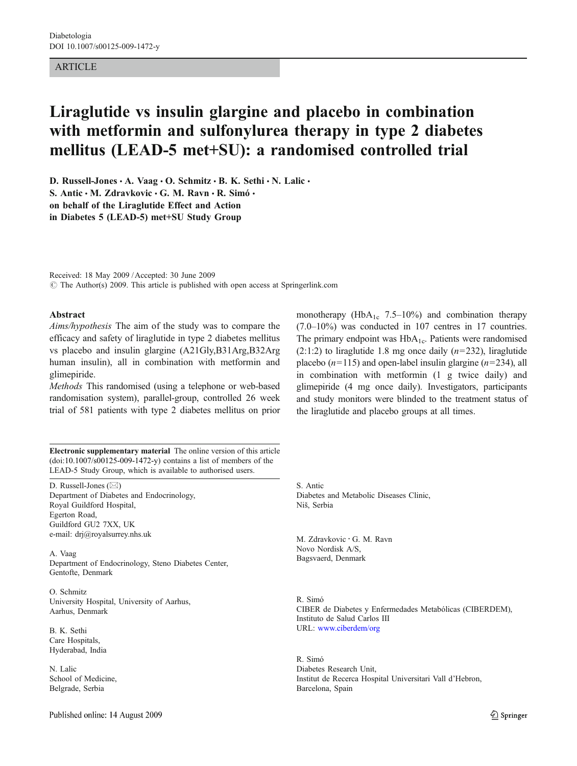#### ARTICLE

# Liraglutide vs insulin glargine and placebo in combination with metformin and sulfonylurea therapy in type 2 diabetes mellitus (LEAD-5 met+SU): a randomised controlled trial

D. Russell-Jones  $\cdot$  A. Vaag  $\cdot$  O. Schmitz  $\cdot$  B. K. Sethi  $\cdot$  N. Lalic  $\cdot$ S. Antic  $\cdot$  M. Zdravkovic  $\cdot$  G. M. Ravn  $\cdot$  R. Simó  $\cdot$ on behalf of the Liraglutide Effect and Action in Diabetes 5 (LEAD-5) met+SU Study Group

Received: 18 May 2009 /Accepted: 30 June 2009  $\circ$  The Author(s) 2009. This article is published with open access at Springerlink.com

### Abstract

Aims/hypothesis The aim of the study was to compare the efficacy and safety of liraglutide in type 2 diabetes mellitus vs placebo and insulin glargine (A21Gly,B31Arg,B32Arg human insulin), all in combination with metformin and glimepiride.

Methods This randomised (using a telephone or web-based randomisation system), parallel-group, controlled 26 week trial of 581 patients with type 2 diabetes mellitus on prior

Electronic supplementary material The online version of this article (doi:[10.1007/s00125-009-1472-y](http://dx.doi.org/10.1007/s00125-009-1472-y)) contains a list of members of the LEAD-5 Study Group, which is available to authorised users.

D. Russell-Jones (*\**) Department of Diabetes and Endocrinology, Royal Guildford Hospital, Egerton Road, Guildford GU2 7XX, UK e-mail: drj@royalsurrey.nhs.uk

A. Vaag Department of Endocrinology, Steno Diabetes Center, Gentofte, Denmark

O. Schmitz University Hospital, University of Aarhus, Aarhus, Denmark

B. K. Sethi Care Hospitals, Hyderabad, India

N. Lalic School of Medicine, Belgrade, Serbia

monotherapy (Hb $A_{1c}$  7.5–10%) and combination therapy (7.0–10%) was conducted in 107 centres in 17 countries. The primary endpoint was  $HbA_{1c}$ . Patients were randomised (2:1:2) to liraglutide 1.8 mg once daily  $(n=232)$ , liraglutide placebo ( $n=115$ ) and open-label insulin glargine ( $n=234$ ), all in combination with metformin (1 g twice daily) and glimepiride (4 mg once daily). Investigators, participants and study monitors were blinded to the treatment status of the liraglutide and placebo groups at all times.

S. Antic Diabetes and Metabolic Diseases Clinic, Ni*š*, Serbia

M. Zdravkovic *:* G. M. Ravn Novo Nordisk A/S, Bagsvaerd, Denmark

R. Simó CIBER de Diabetes y Enfermedades Metabólicas (CIBERDEM), Instituto de Salud Carlos III URL: [www.ciberdem/org](http://www.ciberdem/org)

R. Simó Diabetes Research Unit, Institut de Recerca Hospital Universitari Vall d'Hebron, Barcelona, Spain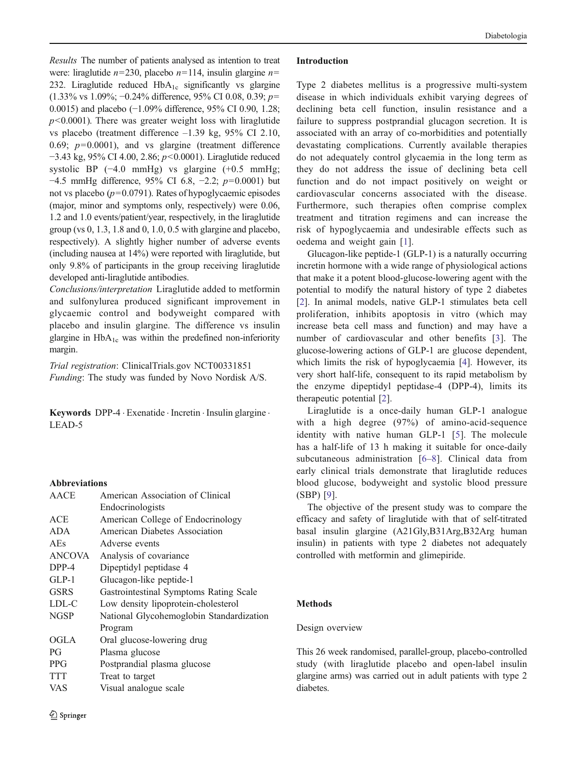Results The number of patients analysed as intention to treat were: liraglutide  $n=230$ , placebo  $n=114$ , insulin glargine  $n=$ 232. Liraglutide reduced  $HbA_{1c}$  significantly vs glargine (1.33% vs 1.09%; −0.24% difference, 95% CI 0.08, 0.39; p= 0.0015) and placebo (−1.09% difference, 95% CI 0.90, 1.28;  $p$ <0.0001). There was greater weight loss with liraglutide vs placebo (treatment difference –1.39 kg, 95% CI 2.10, 0.69;  $p=0.0001$ ), and vs glargine (treatment difference −3.43 kg, 95% CI 4.00, 2.86; p<0.0001). Liraglutide reduced systolic BP (-4.0 mmHg) vs glargine (+0.5 mmHg; −4.5 mmHg difference, 95% CI 6.8, −2.2; p=0.0001) but not vs placebo  $(p=0.0791)$ . Rates of hypoglycaemic episodes (major, minor and symptoms only, respectively) were 0.06, 1.2 and 1.0 events/patient/year, respectively, in the liraglutide group (vs 0, 1.3, 1.8 and 0, 1.0, 0.5 with glargine and placebo, respectively). A slightly higher number of adverse events (including nausea at 14%) were reported with liraglutide, but only 9.8% of participants in the group receiving liraglutide developed anti-liraglutide antibodies.

Conclusions/interpretation Liraglutide added to metformin and sulfonylurea produced significant improvement in glycaemic control and bodyweight compared with placebo and insulin glargine. The difference vs insulin glargine in  $HbA_{1c}$  was within the predefined non-inferiority margin.

Trial registration: ClinicalTrials.gov NCT00331851 Funding: The study was funded by Novo Nordisk A/S.

Keywords DPP-4 . Exenatide . Incretin . Insulin glargine . LEAD-5

## Abbreviations

| AACE          | American Association of Clinical         |
|---------------|------------------------------------------|
|               | Endocrinologists                         |
| ACE           | American College of Endocrinology        |
| <b>ADA</b>    | American Diabetes Association            |
| AEs           | Adverse events                           |
| <b>ANCOVA</b> | Analysis of covariance                   |
| DPP-4         | Dipeptidyl peptidase 4                   |
| $GLP-1$       | Glucagon-like peptide-1                  |
| <b>GSRS</b>   | Gastrointestinal Symptoms Rating Scale   |
| LDL-C         | Low density lipoprotein-cholesterol      |
| <b>NGSP</b>   | National Glycohemoglobin Standardization |
|               | Program                                  |
| <b>OGLA</b>   | Oral glucose-lowering drug               |
| PG            | Plasma glucose                           |
| <b>PPG</b>    | Postprandial plasma glucose              |
| <b>TTT</b>    | Treat to target                          |
| <b>VAS</b>    | Visual analogue scale                    |
|               |                                          |

## Introduction

Type 2 diabetes mellitus is a progressive multi-system disease in which individuals exhibit varying degrees of declining beta cell function, insulin resistance and a failure to suppress postprandial glucagon secretion. It is associated with an array of co-morbidities and potentially devastating complications. Currently available therapies do not adequately control glycaemia in the long term as they do not address the issue of declining beta cell function and do not impact positively on weight or cardiovascular concerns associated with the disease. Furthermore, such therapies often comprise complex treatment and titration regimens and can increase the risk of hypoglycaemia and undesirable effects such as oedema and weight gain [\[1\]](#page-8-0).

Glucagon-like peptide-1 (GLP-1) is a naturally occurring incretin hormone with a wide range of physiological actions that make it a potent blood-glucose-lowering agent with the potential to modify the natural history of type 2 diabetes [\[2](#page-8-0)]. In animal models, native GLP-1 stimulates beta cell proliferation, inhibits apoptosis in vitro (which may increase beta cell mass and function) and may have a number of cardiovascular and other benefits [[3\]](#page-8-0). The glucose-lowering actions of GLP-1 are glucose dependent, which limits the risk of hypoglycaemia [\[4](#page-8-0)]. However, its very short half-life, consequent to its rapid metabolism by the enzyme dipeptidyl peptidase-4 (DPP-4), limits its therapeutic potential [\[2](#page-8-0)].

Liraglutide is a once-daily human GLP-1 analogue with a high degree (97%) of amino-acid-sequence identity with native human GLP-1 [\[5](#page-8-0)]. The molecule has a half-life of 13 h making it suitable for once-daily subcutaneous administration [[6](#page-8-0)–[8\]](#page-8-0). Clinical data from early clinical trials demonstrate that liraglutide reduces blood glucose, bodyweight and systolic blood pressure (SBP) [\[9](#page-8-0)].

The objective of the present study was to compare the efficacy and safety of liraglutide with that of self-titrated basal insulin glargine (A21Gly,B31Arg,B32Arg human insulin) in patients with type 2 diabetes not adequately controlled with metformin and glimepiride.

# Methods

# Design overview

This 26 week randomised, parallel-group, placebo-controlled study (with liraglutide placebo and open-label insulin glargine arms) was carried out in adult patients with type 2 diabetes.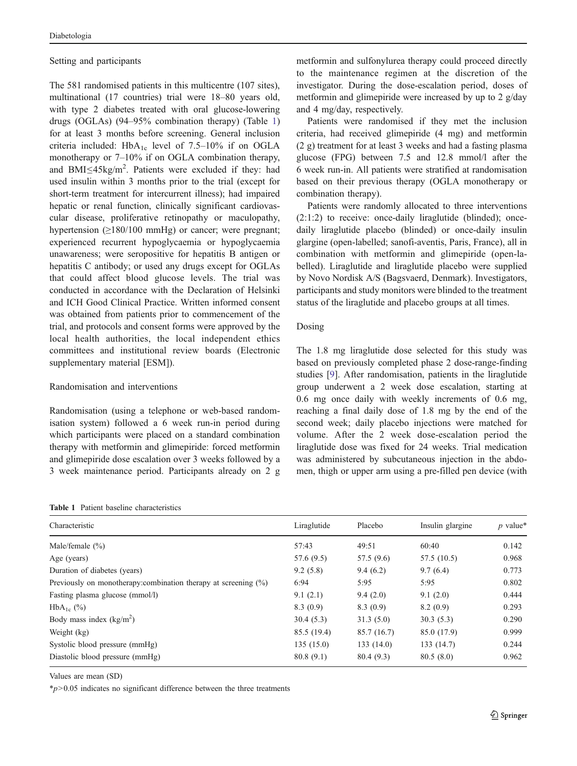## <span id="page-2-0"></span>Setting and participants

The 581 randomised patients in this multicentre (107 sites), multinational (17 countries) trial were 18–80 years old, with type 2 diabetes treated with oral glucose-lowering drugs (OGLAs) (94–95% combination therapy) (Table 1) for at least 3 months before screening. General inclusion criteria included:  $HbA_{1c}$  level of 7.5–10% if on OGLA monotherapy or 7–10% if on OGLA combination therapy, and BMI $\leq$ 45kg/m<sup>2</sup>. Patients were excluded if they: had used insulin within 3 months prior to the trial (except for short-term treatment for intercurrent illness); had impaired hepatic or renal function, clinically significant cardiovascular disease, proliferative retinopathy or maculopathy, hypertension (≥180/100 mmHg) or cancer; were pregnant; experienced recurrent hypoglycaemia or hypoglycaemia unawareness; were seropositive for hepatitis B antigen or hepatitis C antibody; or used any drugs except for OGLAs that could affect blood glucose levels. The trial was conducted in accordance with the Declaration of Helsinki and ICH Good Clinical Practice. Written informed consent was obtained from patients prior to commencement of the trial, and protocols and consent forms were approved by the local health authorities, the local independent ethics committees and institutional review boards (Electronic supplementary material [ESM]).

## Randomisation and interventions

Randomisation (using a telephone or web-based randomisation system) followed a 6 week run-in period during which participants were placed on a standard combination therapy with metformin and glimepiride: forced metformin and glimepiride dose escalation over 3 weeks followed by a 3 week maintenance period. Participants already on 2 g

Table 1 Patient baseline characteristics

metformin and sulfonylurea therapy could proceed directly to the maintenance regimen at the discretion of the investigator. During the dose-escalation period, doses of metformin and glimepiride were increased by up to 2 g/day and 4 mg/day, respectively.

Patients were randomised if they met the inclusion criteria, had received glimepiride (4 mg) and metformin (2 g) treatment for at least 3 weeks and had a fasting plasma glucose (FPG) between 7.5 and 12.8 mmol/l after the 6 week run-in. All patients were stratified at randomisation based on their previous therapy (OGLA monotherapy or combination therapy).

Patients were randomly allocated to three interventions (2:1:2) to receive: once-daily liraglutide (blinded); oncedaily liraglutide placebo (blinded) or once-daily insulin glargine (open-labelled; sanofi-aventis, Paris, France), all in combination with metformin and glimepiride (open-labelled). Liraglutide and liraglutide placebo were supplied by Novo Nordisk A/S (Bagsvaerd, Denmark). Investigators, participants and study monitors were blinded to the treatment status of the liraglutide and placebo groups at all times.

## Dosing

The 1.8 mg liraglutide dose selected for this study was based on previously completed phase 2 dose-range-finding studies [[9\]](#page-8-0). After randomisation, patients in the liraglutide group underwent a 2 week dose escalation, starting at 0.6 mg once daily with weekly increments of 0.6 mg, reaching a final daily dose of 1.8 mg by the end of the second week; daily placebo injections were matched for volume. After the 2 week dose-escalation period the liraglutide dose was fixed for 24 weeks. Trial medication was administered by subcutaneous injection in the abdomen, thigh or upper arm using a pre-filled pen device (with

| Characteristic                                                     | Liraglutide | Placebo     | Insulin glargine | $p$ value* |  |
|--------------------------------------------------------------------|-------------|-------------|------------------|------------|--|
| Male/female $(\%)$                                                 | 57:43       | 49:51       | 60:40            | 0.142      |  |
| Age (years)                                                        | 57.6 (9.5)  | 57.5 (9.6)  | 57.5 (10.5)      | 0.968      |  |
| Duration of diabetes (years)                                       | 9.2(5.8)    | 9.4(6.2)    | 9.7(6.4)         | 0.773      |  |
| Previously on monotherapy: combination therapy at screening $(\%)$ | 6:94        | 5:95        | 5:95             | 0.802      |  |
| Fasting plasma glucose (mmol/l)                                    | 9.1(2.1)    | 9.4(2.0)    | 9.1(2.0)         | 0.444      |  |
| $HbA_{1c}$ (%)                                                     | 8.3(0.9)    | 8.3(0.9)    | 8.2(0.9)         | 0.293      |  |
| Body mass index $(kg/m2)$                                          | 30.4(5.3)   | 31.3(5.0)   | 30.3(5.3)        | 0.290      |  |
| Weight (kg)                                                        | 85.5 (19.4) | 85.7 (16.7) | 85.0 (17.9)      | 0.999      |  |
| Systolic blood pressure (mmHg)                                     | 135(15.0)   | 133(14.0)   | 133(14.7)        | 0.244      |  |
| Diastolic blood pressure (mmHg)                                    | 80.8(9.1)   | 80.4(9.3)   | 80.5(8.0)        | 0.962      |  |
|                                                                    |             |             |                  |            |  |

Values are mean (SD)

 $*p>0.05$  indicates no significant difference between the three treatments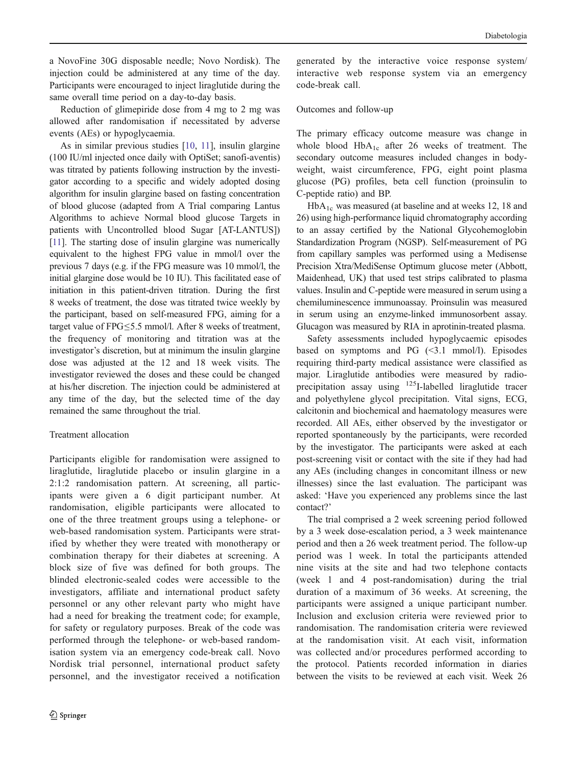a NovoFine 30G disposable needle; Novo Nordisk). The injection could be administered at any time of the day. Participants were encouraged to inject liraglutide during the same overall time period on a day-to-day basis.

Reduction of glimepiride dose from 4 mg to 2 mg was allowed after randomisation if necessitated by adverse events (AEs) or hypoglycaemia.

As in similar previous studies [\[10](#page-8-0), [11](#page-8-0)], insulin glargine (100 IU/ml injected once daily with OptiSet; sanofi-aventis) was titrated by patients following instruction by the investigator according to a specific and widely adopted dosing algorithm for insulin glargine based on fasting concentration of blood glucose (adapted from A Trial comparing Lantus Algorithms to achieve Normal blood glucose Targets in patients with Uncontrolled blood Sugar [AT-LANTUS]) [\[11\]](#page-8-0). The starting dose of insulin glargine was numerically equivalent to the highest FPG value in mmol/l over the previous 7 days (e.g. if the FPG measure was 10 mmol/l, the initial glargine dose would be 10 IU). This facilitated ease of initiation in this patient-driven titration. During the first 8 weeks of treatment, the dose was titrated twice weekly by the participant, based on self-measured FPG, aiming for a target value of FPG≤5.5 mmol/l. After 8 weeks of treatment, the frequency of monitoring and titration was at the investigator's discretion, but at minimum the insulin glargine dose was adjusted at the 12 and 18 week visits. The investigator reviewed the doses and these could be changed at his/her discretion. The injection could be administered at any time of the day, but the selected time of the day remained the same throughout the trial.

## Treatment allocation

Participants eligible for randomisation were assigned to liraglutide, liraglutide placebo or insulin glargine in a 2:1:2 randomisation pattern. At screening, all participants were given a 6 digit participant number. At randomisation, eligible participants were allocated to one of the three treatment groups using a telephone- or web-based randomisation system. Participants were stratified by whether they were treated with monotherapy or combination therapy for their diabetes at screening. A block size of five was defined for both groups. The blinded electronic-sealed codes were accessible to the investigators, affiliate and international product safety personnel or any other relevant party who might have had a need for breaking the treatment code; for example, for safety or regulatory purposes. Break of the code was performed through the telephone- or web-based randomisation system via an emergency code-break call. Novo Nordisk trial personnel, international product safety personnel, and the investigator received a notification generated by the interactive voice response system/ interactive web response system via an emergency code-break call.

#### Outcomes and follow-up

The primary efficacy outcome measure was change in whole blood  $HbA_{1c}$  after 26 weeks of treatment. The secondary outcome measures included changes in bodyweight, waist circumference, FPG, eight point plasma glucose (PG) profiles, beta cell function (proinsulin to C-peptide ratio) and BP.

 $HbA_{1c}$  was measured (at baseline and at weeks 12, 18 and 26) using high-performance liquid chromatography according to an assay certified by the National Glycohemoglobin Standardization Program (NGSP). Self-measurement of PG from capillary samples was performed using a Medisense Precision Xtra/MediSense Optimum glucose meter (Abbott, Maidenhead, UK) that used test strips calibrated to plasma values. Insulin and C-peptide were measured in serum using a chemiluminescence immunoassay. Proinsulin was measured in serum using an enzyme-linked immunosorbent assay. Glucagon was measured by RIA in aprotinin-treated plasma.

Safety assessments included hypoglycaemic episodes based on symptoms and PG  $(\leq 3.1 \text{ mmol/l})$ . Episodes requiring third-party medical assistance were classified as major. Liraglutide antibodies were measured by radioprecipitation assay using 125I-labelled liraglutide tracer and polyethylene glycol precipitation. Vital signs, ECG, calcitonin and biochemical and haematology measures were recorded. All AEs, either observed by the investigator or reported spontaneously by the participants, were recorded by the investigator. The participants were asked at each post-screening visit or contact with the site if they had had any AEs (including changes in concomitant illness or new illnesses) since the last evaluation. The participant was asked: 'Have you experienced any problems since the last contact?'

The trial comprised a 2 week screening period followed by a 3 week dose-escalation period, a 3 week maintenance period and then a 26 week treatment period. The follow-up period was 1 week. In total the participants attended nine visits at the site and had two telephone contacts (week 1 and 4 post-randomisation) during the trial duration of a maximum of 36 weeks. At screening, the participants were assigned a unique participant number. Inclusion and exclusion criteria were reviewed prior to randomisation. The randomisation criteria were reviewed at the randomisation visit. At each visit, information was collected and/or procedures performed according to the protocol. Patients recorded information in diaries between the visits to be reviewed at each visit. Week 26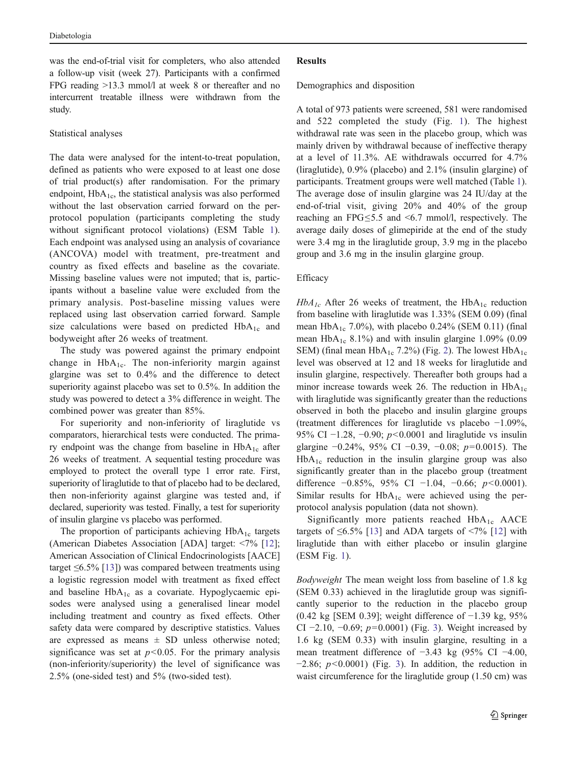was the end-of-trial visit for completers, who also attended a follow-up visit (week 27). Participants with a confirmed FPG reading >13.3 mmol/l at week 8 or thereafter and no intercurrent treatable illness were withdrawn from the study.

#### Statistical analyses

The data were analysed for the intent-to-treat population, defined as patients who were exposed to at least one dose of trial product(s) after randomisation. For the primary endpoint,  $HbA_{1c}$ , the statistical analysis was also performed without the last observation carried forward on the perprotocol population (participants completing the study without significant protocol violations) (ESM Table 1). Each endpoint was analysed using an analysis of covariance (ANCOVA) model with treatment, pre-treatment and country as fixed effects and baseline as the covariate. Missing baseline values were not imputed; that is, participants without a baseline value were excluded from the primary analysis. Post-baseline missing values were replaced using last observation carried forward. Sample size calculations were based on predicted  $HbA_{1c}$  and bodyweight after 26 weeks of treatment.

The study was powered against the primary endpoint change in  $HbA_{1c}$ . The non-inferiority margin against glargine was set to 0.4% and the difference to detect superiority against placebo was set to 0.5%. In addition the study was powered to detect a 3% difference in weight. The combined power was greater than 85%.

For superiority and non-inferiority of liraglutide vs comparators, hierarchical tests were conducted. The primary endpoint was the change from baseline in  $HbA_{1c}$  after 26 weeks of treatment. A sequential testing procedure was employed to protect the overall type 1 error rate. First, superiority of liraglutide to that of placebo had to be declared, then non-inferiority against glargine was tested and, if declared, superiority was tested. Finally, a test for superiority of insulin glargine vs placebo was performed.

The proportion of participants achieving  $HbA_{1c}$  targets (American Diabetes Association [ADA] target: <7% [\[12](#page-8-0)]; American Association of Clinical Endocrinologists [AACE] target  $\leq 6.5\%$  [\[13](#page-8-0)]) was compared between treatments using a logistic regression model with treatment as fixed effect and baseline  $HbA_{1c}$  as a covariate. Hypoglycaemic episodes were analysed using a generalised linear model including treatment and country as fixed effects. Other safety data were compared by descriptive statistics. Values are expressed as means  $\pm$  SD unless otherwise noted; significance was set at  $p<0.05$ . For the primary analysis (non-inferiority/superiority) the level of significance was 2.5% (one-sided test) and 5% (two-sided test).

### Results

Demographics and disposition

A total of 973 patients were screened, 581 were randomised and 522 completed the study (Fig. [1](#page-5-0)). The highest withdrawal rate was seen in the placebo group, which was mainly driven by withdrawal because of ineffective therapy at a level of 11.3%. AE withdrawals occurred for 4.7% (liraglutide), 0.9% (placebo) and 2.1% (insulin glargine) of participants. Treatment groups were well matched (Table [1\)](#page-2-0). The average dose of insulin glargine was 24 IU/day at the end-of-trial visit, giving 20% and 40% of the group reaching an FPG≤5.5 and <6.7 mmol/l, respectively. The average daily doses of glimepiride at the end of the study were 3.4 mg in the liraglutide group, 3.9 mg in the placebo group and 3.6 mg in the insulin glargine group.

## Efficacy

 $HbA<sub>1c</sub>$  After 26 weeks of treatment, the HbA<sub>1c</sub> reduction from baseline with liraglutide was 1.33% (SEM 0.09) (final mean  $HbA_{1c}$  7.0%), with placebo 0.24% (SEM 0.11) (final mean  $HbA_{1c}$  8.1%) and with insulin glargine 1.09% (0.09 SEM) (final mean HbA<sub>1c</sub> 7.2%) (Fig. [2\)](#page-5-0). The lowest  $HbA_{1c}$ level was observed at 12 and 18 weeks for liraglutide and insulin glargine, respectively. Thereafter both groups had a minor increase towards week 26. The reduction in  $HbA_{1c}$ with liraglutide was significantly greater than the reductions observed in both the placebo and insulin glargine groups (treatment differences for liraglutide vs placebo −1.09%, 95% CI  $-1.28$ ,  $-0.90$ ;  $p < 0.0001$  and liraglutide vs insulin glargine  $-0.24\%$ , 95% CI  $-0.39$ ,  $-0.08$ ;  $p=0.0015$ ). The  $HbA_{1c}$  reduction in the insulin glargine group was also significantly greater than in the placebo group (treatment difference  $-0.85\%$ , 95% CI  $-1.04$ ,  $-0.66$ ;  $p < 0.0001$ ). Similar results for  $HbA_{1c}$  were achieved using the perprotocol analysis population (data not shown).

Significantly more patients reached  $HbA_{1c}$  AACE targets of  $\leq 6.5\%$  [\[13](#page-8-0)] and ADA targets of  $\leq 7\%$  [[12\]](#page-8-0) with liraglutide than with either placebo or insulin glargine (ESM Fig. 1).

Bodyweight The mean weight loss from baseline of 1.8 kg (SEM 0.33) achieved in the liraglutide group was significantly superior to the reduction in the placebo group (0.42 kg [SEM 0.39]; weight difference of −1.39 kg, 95% CI  $-2.10$ ,  $-0.69$ ;  $p=0.0001$ ) (Fig. [3](#page-6-0)). Weight increased by 1.6 kg (SEM 0.33) with insulin glargine, resulting in a mean treatment difference of −3.43 kg (95% CI −4.00,  $-2.86$ ;  $p < 0.0001$ ) (Fig. [3\)](#page-6-0). In addition, the reduction in waist circumference for the liraglutide group (1.50 cm) was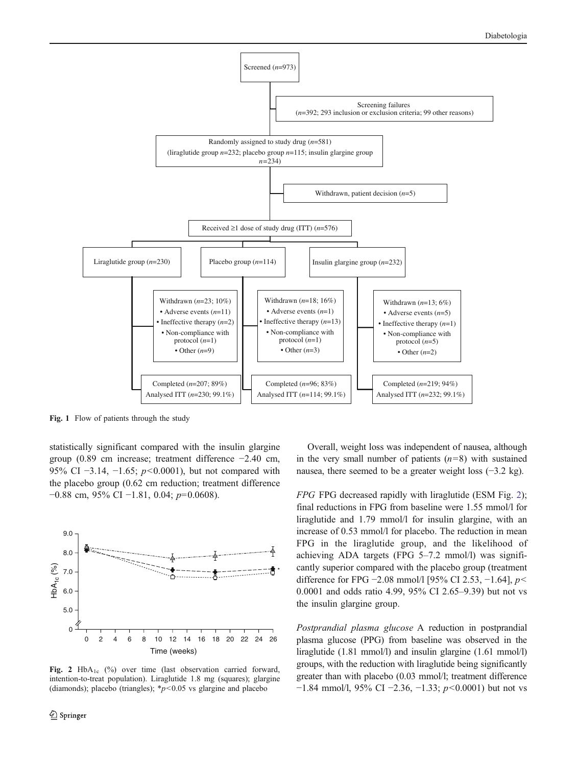<span id="page-5-0"></span>

Fig. 1 Flow of patients through the study

statistically significant compared with the insulin glargine group (0.89 cm increase; treatment difference −2.40 cm, 95% CI  $-3.14$ ,  $-1.65$ ;  $p < 0.0001$ ), but not compared with the placebo group (0.62 cm reduction; treatment difference  $-0.88$  cm, 95% CI −1.81, 0.04; p=0.0608).



Fig. 2 HbA<sub>1c</sub> (%) over time (last observation carried forward, intention-to-treat population). Liraglutide 1.8 mg (squares); glargine (diamonds); placebo (triangles);  $\frac{p}{0.05}$  vs glargine and placebo

Overall, weight loss was independent of nausea, although in the very small number of patients  $(n=8)$  with sustained nausea, there seemed to be a greater weight loss (−3.2 kg).

FPG FPG decreased rapidly with liraglutide (ESM Fig. 2); final reductions in FPG from baseline were 1.55 mmol/l for liraglutide and 1.79 mmol/l for insulin glargine, with an increase of 0.53 mmol/l for placebo. The reduction in mean FPG in the liraglutide group, and the likelihood of achieving ADA targets (FPG 5–7.2 mmol/l) was significantly superior compared with the placebo group (treatment difference for FPG −2.08 mmol/l [95% CI 2.53, −1.64],  $p$  < 0.0001 and odds ratio 4.99, 95% CI 2.65–9.39) but not vs the insulin glargine group.

Postprandial plasma glucose A reduction in postprandial plasma glucose (PPG) from baseline was observed in the liraglutide (1.81 mmol/l) and insulin glargine (1.61 mmol/l) groups, with the reduction with liraglutide being significantly greater than with placebo (0.03 mmol/l; treatment difference  $-1.84$  mmol/l, 95% CI  $-2.36$ ,  $-1.33$ ;  $p < 0.0001$ ) but not vs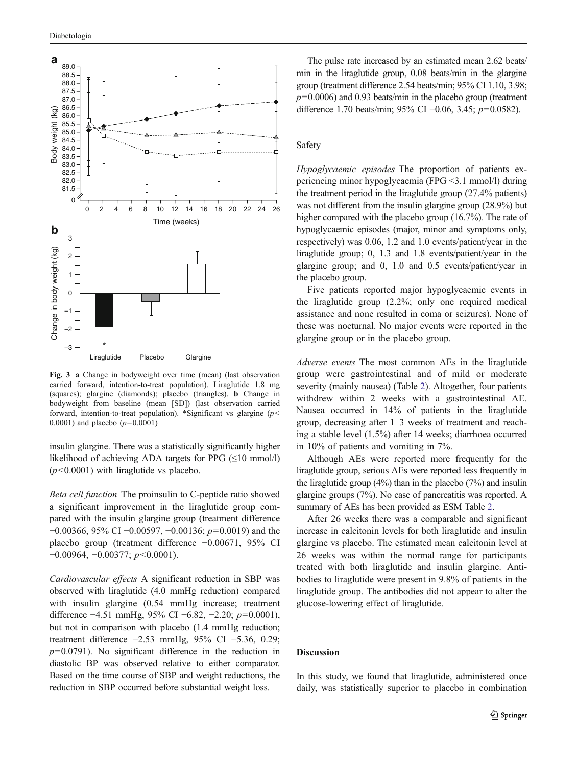<span id="page-6-0"></span>

Fig. 3 a Change in bodyweight over time (mean) (last observation carried forward, intention-to-treat population). Liraglutide 1.8 mg (squares); glargine (diamonds); placebo (triangles). b Change in bodyweight from baseline (mean [SD]) (last observation carried forward, intention-to-treat population). \*Significant vs glargine  $(p<$ 0.0001) and placebo  $(p=0.0001)$ 

insulin glargine. There was a statistically significantly higher likelihood of achieving ADA targets for PPG  $(\leq 10 \text{ mmol/l})$  $(p<0.0001)$  with liraglutide vs placebo.

Beta cell function The proinsulin to C-peptide ratio showed a significant improvement in the liraglutide group compared with the insulin glargine group (treatment difference −0.00366, 95% CI −0.00597, −0.00136;  $p=0.0019$ ) and the placebo group (treatment difference −0.00671, 95% CI  $-0.00964, -0.00377; p<0.0001$ ).

Cardiovascular effects A significant reduction in SBP was observed with liraglutide (4.0 mmHg reduction) compared with insulin glargine  $(0.54 \text{ mmHg})$  increase; treatment difference −4.51 mmHg, 95% CI −6.82, −2.20;  $p=0.0001$ ), but not in comparison with placebo (1.4 mmHg reduction; treatment difference −2.53 mmHg, 95% CI −5.36, 0.29;  $p=0.0791$ ). No significant difference in the reduction in diastolic BP was observed relative to either comparator. Based on the time course of SBP and weight reductions, the reduction in SBP occurred before substantial weight loss.

The pulse rate increased by an estimated mean 2.62 beats/ min in the liraglutide group, 0.08 beats/min in the glargine group (treatment difference 2.54 beats/min; 95% CI 1.10, 3.98;  $p=0.0006$ ) and 0.93 beats/min in the placebo group (treatment difference 1.70 beats/min; 95% CI −0.06, 3.45;  $p=0.0582$ ).

#### Safety

Hypoglycaemic episodes The proportion of patients experiencing minor hypoglycaemia (FPG <3.1 mmol/l) during the treatment period in the liraglutide group (27.4% patients) was not different from the insulin glargine group (28.9%) but higher compared with the placebo group (16.7%). The rate of hypoglycaemic episodes (major, minor and symptoms only, respectively) was 0.06, 1.2 and 1.0 events/patient/year in the liraglutide group; 0, 1.3 and 1.8 events/patient/year in the glargine group; and 0, 1.0 and 0.5 events/patient/year in the placebo group.

Five patients reported major hypoglycaemic events in the liraglutide group (2.2%; only one required medical assistance and none resulted in coma or seizures). None of these was nocturnal. No major events were reported in the glargine group or in the placebo group.

Adverse events The most common AEs in the liraglutide group were gastrointestinal and of mild or moderate severity (mainly nausea) (Table [2\)](#page-7-0). Altogether, four patients withdrew within 2 weeks with a gastrointestinal AE. Nausea occurred in 14% of patients in the liraglutide group, decreasing after 1–3 weeks of treatment and reaching a stable level (1.5%) after 14 weeks; diarrhoea occurred in 10% of patients and vomiting in 7%.

Although AEs were reported more frequently for the liraglutide group, serious AEs were reported less frequently in the liraglutide group  $(4\%)$  than in the placebo  $(7\%)$  and insulin glargine groups (7%). No case of pancreatitis was reported. A summary of AEs has been provided as ESM Table 2.

After 26 weeks there was a comparable and significant increase in calcitonin levels for both liraglutide and insulin glargine vs placebo. The estimated mean calcitonin level at 26 weeks was within the normal range for participants treated with both liraglutide and insulin glargine. Antibodies to liraglutide were present in 9.8% of patients in the liraglutide group. The antibodies did not appear to alter the glucose-lowering effect of liraglutide.

### Discussion

In this study, we found that liraglutide, administered once daily, was statistically superior to placebo in combination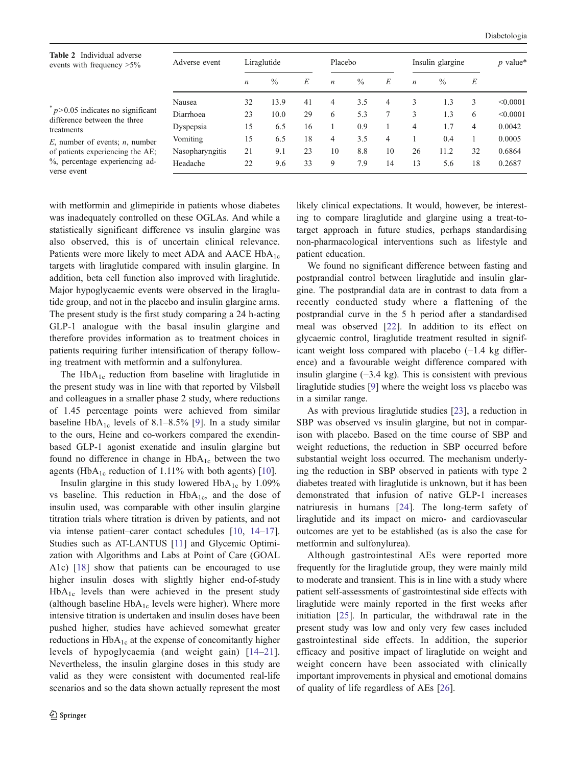<span id="page-7-0"></span>Table 2 Individual adverse events with frequency >5%

| Adverse event   | Liraglutide      |               |    | Placebo          |               |                |                  | Insulin glargine |    | $p$ value* |
|-----------------|------------------|---------------|----|------------------|---------------|----------------|------------------|------------------|----|------------|
|                 | $\boldsymbol{n}$ | $\frac{0}{0}$ | E  | $\boldsymbol{n}$ | $\frac{0}{0}$ | E              | $\boldsymbol{n}$ | $\%$             | E  |            |
| Nausea          | 32               | 13.9          | 41 | 4                | 3.5           | $\overline{4}$ | 3                | 1.3              | 3  | < 0.0001   |
| Diarrhoea       | 23               | 10.0          | 29 | 6                | 5.3           | 7              | 3                | 1.3              | 6  | < 0.0001   |
| Dyspepsia       | 15               | 6.5           | 16 |                  | 0.9           |                | $\overline{4}$   | 1.7              | 4  | 0.0042     |
| Vomiting        | 15               | 6.5           | 18 | 4                | 3.5           | $\overline{4}$ |                  | 0.4              | 1  | 0.0005     |
| Nasopharyngitis | 21               | 9.1           | 23 | 10               | 8.8           | 10             | 26               | 11.2             | 32 | 0.6864     |
| Headache        | 22               | 9.6           | 33 | 9                | 7.9           | 14             | 13               | 5.6              | 18 | 0.2687     |

 $p > 0.05$  indicates no significant difference between the three treatments

 $E$ , number of events;  $n$ , number of patients experiencing the AE; %, percentage experiencing adverse event

with metformin and glimepiride in patients whose diabetes was inadequately controlled on these OGLAs. And while a statistically significant difference vs insulin glargine was also observed, this is of uncertain clinical relevance. Patients were more likely to meet ADA and AACE  $HbA_{1c}$ targets with liraglutide compared with insulin glargine. In addition, beta cell function also improved with liraglutide. Major hypoglycaemic events were observed in the liraglutide group, and not in the placebo and insulin glargine arms. The present study is the first study comparing a 24 h-acting GLP-1 analogue with the basal insulin glargine and therefore provides information as to treatment choices in patients requiring further intensification of therapy following treatment with metformin and a sulfonylurea.

The  $HbA_{1c}$  reduction from baseline with liraglutide in the present study was in line with that reported by Vilsbøll and colleagues in a smaller phase 2 study, where reductions of 1.45 percentage points were achieved from similar baseline HbA<sub>1c</sub> levels of 8.1–8.5% [[9\]](#page-8-0). In a study similar to the ours, Heine and co-workers compared the exendinbased GLP-1 agonist exenatide and insulin glargine but found no difference in change in  $HbA_{1c}$  between the two agents (HbA<sub>1c</sub> reduction of 1.11% with both agents) [\[10](#page-8-0)].

Insulin glargine in this study lowered  $HbA_{1c}$  by 1.09% vs baseline. This reduction in  $HbA_{1c}$ , and the dose of insulin used, was comparable with other insulin glargine titration trials where titration is driven by patients, and not via intense patient–carer contact schedules [\[10](#page-8-0), [14](#page-8-0)–[17](#page-9-0)]. Studies such as AT-LANTUS [[11\]](#page-8-0) and Glycemic Optimization with Algorithms and Labs at Point of Care (GOAL A1c) [\[18](#page-9-0)] show that patients can be encouraged to use higher insulin doses with slightly higher end-of-study  $HbA_{1c}$  levels than were achieved in the present study (although baseline  $HbA_{1c}$  levels were higher). Where more intensive titration is undertaken and insulin doses have been pushed higher, studies have achieved somewhat greater reductions in  $HbA_{1c}$  at the expense of concomitantly higher levels of hypoglycaemia (and weight gain) [\[14](#page-8-0)–[21](#page-9-0)]. Nevertheless, the insulin glargine doses in this study are valid as they were consistent with documented real-life scenarios and so the data shown actually represent the most likely clinical expectations. It would, however, be interesting to compare liraglutide and glargine using a treat-totarget approach in future studies, perhaps standardising non-pharmacological interventions such as lifestyle and patient education.

We found no significant difference between fasting and postprandial control between liraglutide and insulin glargine. The postprandial data are in contrast to data from a recently conducted study where a flattening of the postprandial curve in the 5 h period after a standardised meal was observed [\[22\]](#page-9-0). In addition to its effect on glycaemic control, liraglutide treatment resulted in significant weight loss compared with placebo (−1.4 kg difference) and a favourable weight difference compared with insulin glargine  $(-3.4 \text{ kg})$ . This is consistent with previous liraglutide studies [[9\]](#page-8-0) where the weight loss vs placebo was in a similar range.

As with previous liraglutide studies [[23\]](#page-9-0), a reduction in SBP was observed vs insulin glargine, but not in comparison with placebo. Based on the time course of SBP and weight reductions, the reduction in SBP occurred before substantial weight loss occurred. The mechanism underlying the reduction in SBP observed in patients with type 2 diabetes treated with liraglutide is unknown, but it has been demonstrated that infusion of native GLP-1 increases natriuresis in humans [\[24\]](#page-9-0). The long-term safety of liraglutide and its impact on micro- and cardiovascular outcomes are yet to be established (as is also the case for metformin and sulfonylurea).

Although gastrointestinal AEs were reported more frequently for the liraglutide group, they were mainly mild to moderate and transient. This is in line with a study where patient self-assessments of gastrointestinal side effects with liraglutide were mainly reported in the first weeks after initiation [[25\]](#page-9-0). In particular, the withdrawal rate in the present study was low and only very few cases included gastrointestinal side effects. In addition, the superior efficacy and positive impact of liraglutide on weight and weight concern have been associated with clinically important improvements in physical and emotional domains of quality of life regardless of AEs [\[26](#page-9-0)].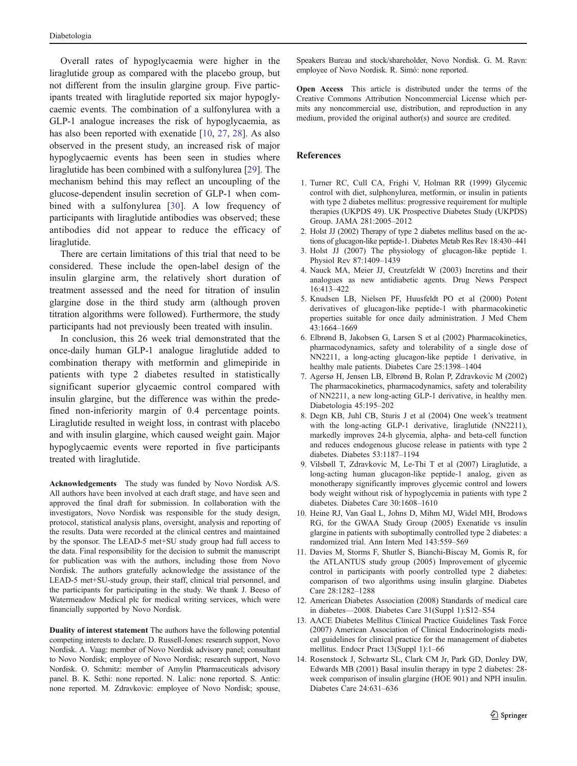<span id="page-8-0"></span>Overall rates of hypoglycaemia were higher in the liraglutide group as compared with the placebo group, but not different from the insulin glargine group. Five participants treated with liraglutide reported six major hypoglycaemic events. The combination of a sulfonylurea with a GLP-1 analogue increases the risk of hypoglycaemia, as has also been reported with exenatide [10, [27,](#page-9-0) [28](#page-9-0)]. As also observed in the present study, an increased risk of major hypoglycaemic events has been seen in studies where liraglutide has been combined with a sulfonylurea [\[29](#page-9-0)]. The mechanism behind this may reflect an uncoupling of the glucose-dependent insulin secretion of GLP-1 when com-bined with a sulfonylurea [[30](#page-9-0)]. A low frequency of participants with liraglutide antibodies was observed; these antibodies did not appear to reduce the efficacy of liraglutide.

There are certain limitations of this trial that need to be considered. These include the open-label design of the insulin glargine arm, the relatively short duration of treatment assessed and the need for titration of insulin glargine dose in the third study arm (although proven titration algorithms were followed). Furthermore, the study participants had not previously been treated with insulin.

In conclusion, this 26 week trial demonstrated that the once-daily human GLP-1 analogue liraglutide added to combination therapy with metformin and glimepiride in patients with type 2 diabetes resulted in statistically significant superior glycaemic control compared with insulin glargine, but the difference was within the predefined non-inferiority margin of 0.4 percentage points. Liraglutide resulted in weight loss, in contrast with placebo and with insulin glargine, which caused weight gain. Major hypoglycaemic events were reported in five participants treated with liraglutide.

Acknowledgements The study was funded by Novo Nordisk A/S. All authors have been involved at each draft stage, and have seen and approved the final draft for submission. In collaboration with the investigators, Novo Nordisk was responsible for the study design, protocol, statistical analysis plans, oversight, analysis and reporting of the results. Data were recorded at the clinical centres and maintained by the sponsor. The LEAD-5 met+SU study group had full access to the data. Final responsibility for the decision to submit the manuscript for publication was with the authors, including those from Novo Nordisk. The authors gratefully acknowledge the assistance of the LEAD-5 met+SU-study group, their staff, clinical trial personnel, and the participants for participating in the study. We thank J. Beeso of Watermeadow Medical plc for medical writing services, which were financially supported by Novo Nordisk.

Duality of interest statement The authors have the following potential competing interests to declare. D. Russell-Jones: research support, Novo Nordisk. A. Vaag: member of Novo Nordisk advisory panel; consultant to Novo Nordisk; employee of Novo Nordisk; research support, Novo Nordisk. O. Schmitz: member of Amylin Pharmaceuticals advisory panel. B. K. Sethi: none reported. N. Lalic: none reported. S. Antic: none reported. M. Zdravkovic: employee of Novo Nordisk; spouse,

Speakers Bureau and stock/shareholder, Novo Nordisk. G. M. Ravn: employee of Novo Nordisk. R. Simó: none reported.

Open Access This article is distributed under the terms of the Creative Commons Attribution Noncommercial License which permits any noncommercial use, distribution, and reproduction in any medium, provided the original author(s) and source are credited.

#### References

- 1. Turner RC, Cull CA, Frighi V, Holman RR (1999) Glycemic control with diet, sulphonylurea, metformin, or insulin in patients with type 2 diabetes mellitus: progressive requirement for multiple therapies (UKPDS 49). UK Prospective Diabetes Study (UKPDS) Group. JAMA 281:2005–2012
- 2. Holst JJ (2002) Therapy of type 2 diabetes mellitus based on the actions of glucagon-like peptide-1. Diabetes Metab Res Rev 18:430–441
- 3. Holst JJ (2007) The physiology of glucagon-like peptide 1. Physiol Rev 87:1409–1439
- 4. Nauck MA, Meier JJ, Creutzfeldt W (2003) Incretins and their analogues as new antidiabetic agents. Drug News Perspect 16:413–422
- 5. Knudsen LB, Nielsen PF, Huusfeldt PO et al (2000) Potent derivatives of glucagon-like peptide-1 with pharmacokinetic properties suitable for once daily administration. J Med Chem 43:1664–1669
- 6. Elbrønd B, Jakobsen G, Larsen S et al (2002) Pharmacokinetics, pharmacodynamics, safety and tolerability of a single dose of NN2211, a long-acting glucagon-like peptide 1 derivative, in healthy male patients. Diabetes Care 25:1398–1404
- 7. Agersø H, Jensen LB, Elbrønd B, Rolan P, Zdravkovic M (2002) The pharmacokinetics, pharmacodynamics, safety and tolerability of NN2211, a new long-acting GLP-1 derivative, in healthy men. Diabetologia 45:195–202
- 8. Degn KB, Juhl CB, Sturis J et al (2004) One week's treatment with the long-acting GLP-1 derivative, liraglutide (NN2211), markedly improves 24-h glycemia, alpha- and beta-cell function and reduces endogenous glucose release in patients with type 2 diabetes. Diabetes 53:1187–1194
- 9. Vilsbøll T, Zdravkovic M, Le-Thi T et al (2007) Liraglutide, a long-acting human glucagon-like peptide-1 analog, given as monotherapy significantly improves glycemic control and lowers body weight without risk of hypoglycemia in patients with type 2 diabetes. Diabetes Care 30:1608–1610
- 10. Heine RJ, Van Gaal L, Johns D, Mihm MJ, Widel MH, Brodows RG, for the GWAA Study Group (2005) Exenatide vs insulin glargine in patients with suboptimally controlled type 2 diabetes: a randomized trial. Ann Intern Med 143:559–569
- 11. Davies M, Storms F, Shutler S, Bianchi-Biscay M, Gomis R, for the ATLANTUS study group (2005) Improvement of glycemic control in participants with poorly controlled type 2 diabetes: comparison of two algorithms using insulin glargine. Diabetes Care 28:1282–1288
- 12. American Diabetes Association (2008) Standards of medical care in diabetes—2008. Diabetes Care 31(Suppl 1):S12–S54
- 13. AACE Diabetes Mellitus Clinical Practice Guidelines Task Force (2007) American Association of Clinical Endocrinologists medical guidelines for clinical practice for the management of diabetes mellitus. Endocr Pract 13(Suppl 1):1–66
- 14. Rosenstock J, Schwartz SL, Clark CM Jr, Park GD, Donley DW, Edwards MB (2001) Basal insulin therapy in type 2 diabetes: 28 week comparison of insulin glargine (HOE 901) and NPH insulin. Diabetes Care 24:631–636